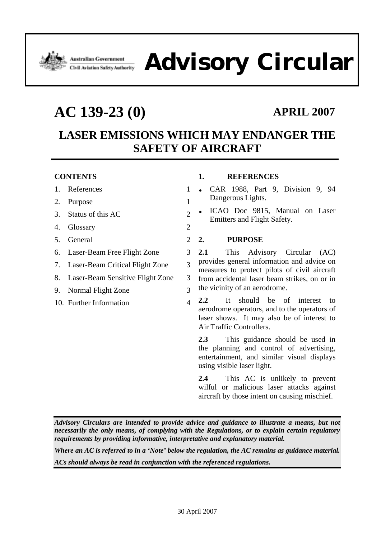

# Advistralian Government **Advisory Circular**

## **AC 139-23 (0) APRIL 2007**

### **LASER EMISSIONS WHICH MAY ENDANGER THE SAFETY OF AIRCRAFT**

#### **CONTENTS**

- 1. References 1
- 2. Purpose 1
- 3. Status of this AC 2
- 4. Glossary 2
- 5. General 2
- 6. Laser-Beam Free Flight Zone 3
- 7. Laser-Beam Critical Flight Zone 3
- 8. Laser-Beam Sensitive Flight Zone 3
- 9. Normal Flight Zone 3
- 10. Further Information 4

### **1. REFERENCES**

- CAR 1988, Part 9, Division 9, 94 Dangerous Lights.
- ICAO Doc 9815, Manual on Laser Emitters and Flight Safety.

#### **2. PURPOSE**

**2.1** This Advisory Circular (AC) provides general information and advice on measures to protect pilots of civil aircraft from accidental laser beam strikes, on or in the vicinity of an aerodrome.

**2.2** It should be of interest to aerodrome operators, and to the operators of laser shows. It may also be of interest to Air Traffic Controllers.

**2.3** This guidance should be used in the planning and control of advertising, entertainment, and similar visual displays using visible laser light.

**2.4** This AC is unlikely to prevent wilful or malicious laser attacks against aircraft by those intent on causing mischief.

*Advisory Circulars are intended to provide advice and guidance to illustrate a means, but not necessarily the only means, of complying with the Regulations, or to explain certain regulatory requirements by providing informative, interpretative and explanatory material.* 

*Where an AC is referred to in a 'Note' below the regulation, the AC remains as guidance material. ACs should always be read in conjunction with the referenced regulations.*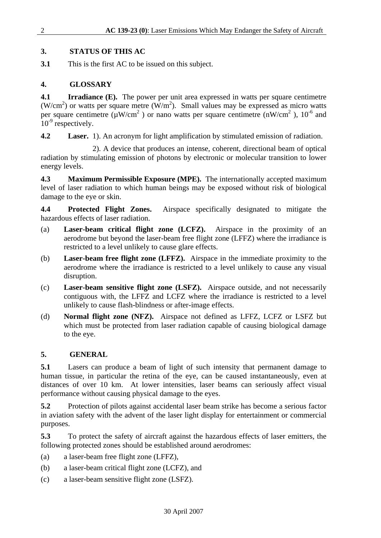#### **3. STATUS OF THIS AC**

**3.1** This is the first AC to be issued on this subject.

### **4. GLOSSARY**

**4.1 Irradiance (E).** The power per unit area expressed in watts per square centimetre (W/cm<sup>2</sup>) or watts per square metre (W/m<sup>2</sup>). Small values may be expressed as micro watts per square centimetre ( $\mu$ W/cm<sup>2</sup>) or nano watts per square centimetre (nW/cm<sup>2</sup>), 10<sup>-6</sup> and  $10^{-9}$  respectively.

**4.2 Laser.** 1). An acronym for light amplification by stimulated emission of radiation.

 2). A device that produces an intense, coherent, directional beam of optical radiation by stimulating emission of photons by electronic or molecular transition to lower energy levels.

**4.3 Maximum Permissible Exposure (MPE).** The internationally accepted maximum level of laser radiation to which human beings may be exposed without risk of biological damage to the eye or skin.

**4.4 Protected Flight Zones.** Airspace specifically designated to mitigate the hazardous effects of laser radiation.

- (a) **Laser-beam critical flight zone (LCFZ).** Airspace in the proximity of an aerodrome but beyond the laser-beam free flight zone (LFFZ) where the irradiance is restricted to a level unlikely to cause glare effects.
- (b) **Laser-beam free flight zone (LFFZ).** Airspace in the immediate proximity to the aerodrome where the irradiance is restricted to a level unlikely to cause any visual disruption.
- (c) **Laser-beam sensitive flight zone (LSFZ).** Airspace outside, and not necessarily contiguous with, the LFFZ and LCFZ where the irradiance is restricted to a level unlikely to cause flash-blindness or after-image effects.
- (d) **Normal flight zone (NFZ).** Airspace not defined as LFFZ, LCFZ or LSFZ but which must be protected from laser radiation capable of causing biological damage to the eye.

### **5. GENERAL**

**5.1** Lasers can produce a beam of light of such intensity that permanent damage to human tissue, in particular the retina of the eye, can be caused instantaneously, even at distances of over 10 km. At lower intensities, laser beams can seriously affect visual performance without causing physical damage to the eyes.

**5.2** Protection of pilots against accidental laser beam strike has become a serious factor in aviation safety with the advent of the laser light display for entertainment or commercial purposes.

**5.3** To protect the safety of aircraft against the hazardous effects of laser emitters, the following protected zones should be established around aerodromes:

- (a) a laser-beam free flight zone (LFFZ),
- (b) a laser-beam critical flight zone (LCFZ), and
- (c) a laser-beam sensitive flight zone (LSFZ).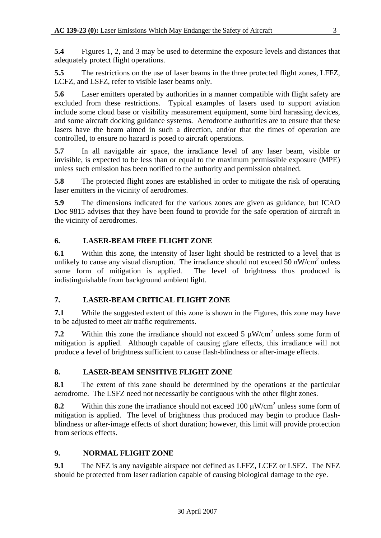**5.4** Figures 1, 2, and 3 may be used to determine the exposure levels and distances that adequately protect flight operations.

**5.5** The restrictions on the use of laser beams in the three protected flight zones, LFFZ, LCFZ, and LSFZ, refer to visible laser beams only.

**5.6** Laser emitters operated by authorities in a manner compatible with flight safety are excluded from these restrictions. Typical examples of lasers used to support aviation include some cloud base or visibility measurement equipment, some bird harassing devices, and some aircraft docking guidance systems. Aerodrome authorities are to ensure that these lasers have the beam aimed in such a direction, and/or that the times of operation are controlled, to ensure no hazard is posed to aircraft operations.

**5.7** In all navigable air space, the irradiance level of any laser beam, visible or invisible, is expected to be less than or equal to the maximum permissible exposure (MPE) unless such emission has been notified to the authority and permission obtained.

**5.8** The protected flight zones are established in order to mitigate the risk of operating laser emitters in the vicinity of aerodromes.

**5.9** The dimensions indicated for the various zones are given as guidance, but ICAO Doc 9815 advises that they have been found to provide for the safe operation of aircraft in the vicinity of aerodromes.

#### **6. LASER-BEAM FREE FLIGHT ZONE**

**6.1** Within this zone, the intensity of laser light should be restricted to a level that is unlikely to cause any visual disruption. The irradiance should not exceed 50 nW/cm<sup>2</sup> unless some form of mitigation is applied. The level of brightness thus produced is indistinguishable from background ambient light.

#### **7. LASER-BEAM CRITICAL FLIGHT ZONE**

**7.1** While the suggested extent of this zone is shown in the Figures, this zone may have to be adjusted to meet air traffic requirements.

**7.2** Within this zone the irradiance should not exceed 5  $\mu$ W/cm<sup>2</sup> unless some form of mitigation is applied. Although capable of causing glare effects, this irradiance will not produce a level of brightness sufficient to cause flash-blindness or after-image effects.

### **8. LASER-BEAM SENSITIVE FLIGHT ZONE**

**8.1** The extent of this zone should be determined by the operations at the particular aerodrome. The LSFZ need not necessarily be contiguous with the other flight zones.

**8.2** Within this zone the irradiance should not exceed  $100 \mu W/cm^2$  unless some form of mitigation is applied. The level of brightness thus produced may begin to produce flashblindness or after-image effects of short duration; however, this limit will provide protection from serious effects.

#### **9. NORMAL FLIGHT ZONE**

**9.1** The NFZ is any navigable airspace not defined as LFFZ, LCFZ or LSFZ. The NFZ should be protected from laser radiation capable of causing biological damage to the eye.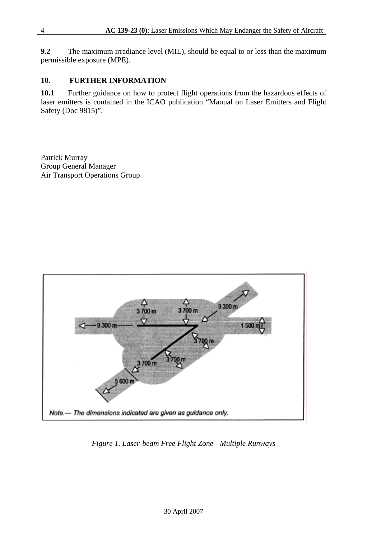**9.2** The maximum irradiance level (MIL), should be equal to or less than the maximum permissible exposure (MPE).

#### **10. FURTHER INFORMATION**

**10.1** Further guidance on how to protect flight operations from the hazardous effects of laser emitters is contained in the ICAO publication "Manual on Laser Emitters and Flight Safety (Doc 9815)".

Patrick Murray Group General Manager Air Transport Operations Group



*Figure 1. Laser-beam Free Flight Zone - Multiple Runways*